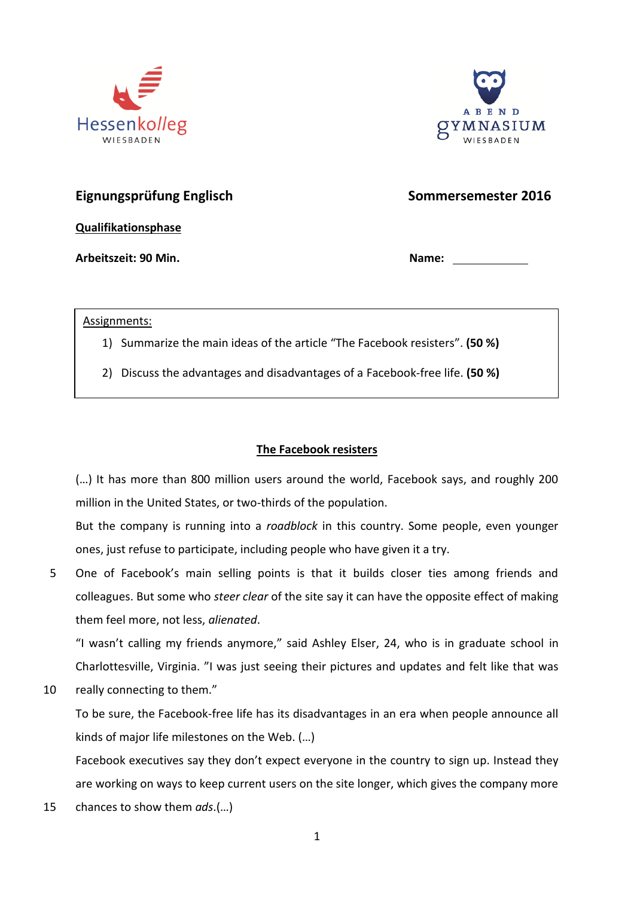



## **Eignungsprüfung Englisch Sommersemester 2016**

**Qualifikationsphase**

Arbeitszeit: 90 Min. **Name: Arbeitszeit: 90 Min.** 2014

Assignments:

1) Summarize the main ideas of the article "The Facebook resisters". **(50 %)**

**"Cyber Face"** 2) Discuss the advantages and disadvantages of a Facebook-free life. **(50 %)**

## **The Facebook resisters**

(…) It has more than 800 million users around the world, Facebook says, and roughly 200 million in the United States, or two-thirds of the population.

But the company is running into a *roadblock* in this country. Some people, even younger ones, just refuse to participate, including people who have given it a try.

5 One of Facebook's main selling points is that it builds closer ties among friends and colleagues. But some who *steer clear* of the site say it can have the opposite effect of making them feel more, not less, *alienated*.

"I wasn't calling my friends anymore," said Ashley Elser, 24, who is in graduate school in Charlottesville, Virginia. "I was just seeing their pictures and updates and felt like that was

10 really connecting to them."

To be sure, the Facebook-free life has its disadvantages in an era when people announce all kinds of major life milestones on the Web. (…)

Facebook executives say they don't expect everyone in the country to sign up. Instead they are working on ways to keep current users on the site longer, which gives the company more

15 chances to show them *ads*.(…)